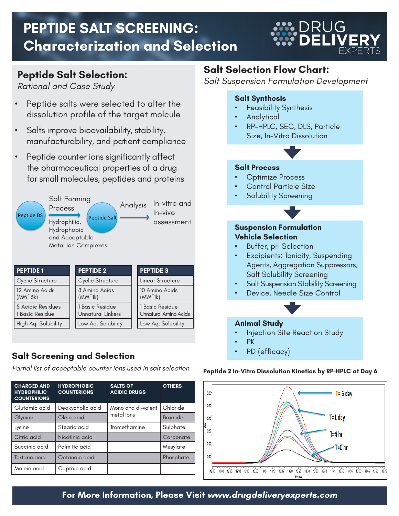# **PEPTIDE SALT SCREENING: Characterization and Selection**

**DRUG** 

### **Peptide Salt Selection:**

*Rational and Case Study*

- Peptide salts were selected to alter the dissolution profile of the target molcule
- Salts improve bioavailability, stability, manufacturability, and patient compliance
- Peptide counter ions significantly affect the pharmaceutical properties of a drug for small molecules, peptides and proteins



| <b>PEPTIDE 1</b>                     | <b>PEPTIDE 2</b>                                                                        | <b>PEPTIDE 3</b>                  |  |
|--------------------------------------|-----------------------------------------------------------------------------------------|-----------------------------------|--|
| Cyclic Structure                     | Cyclic Structure                                                                        | Linear Structure                  |  |
| 12 Amino Acids<br>$(MW^53k)$         | 8 Amino Acids<br>$(MW^{\sim}1k)$                                                        | 10 Amino Acids<br>$(MW^{\sim}1k)$ |  |
| 5 Acidic Residues<br>1 Basic Residue | 1 Basic Residue<br>1 Basic Residue<br><b>Unnatural Linkers</b><br>Unnatural Amino Acids |                                   |  |
| High Aq. Solubility                  | Low Aq. Solubility                                                                      | Low Aq. Solubility                |  |

#### **Salt Screening and Selection**

*Partial list of acceptable counter ions used in salt selection*

| <b>CHARGED AND</b><br><b>HYDROPHILIC</b><br><b>COUNTERIONS</b> | <b>HYDROPHOBIC</b><br><b>COUNTERIONS</b> | <b>SALTS OF</b><br><b>ACIDIC DRUGS</b> | <b>OTHERS</b>  |
|----------------------------------------------------------------|------------------------------------------|----------------------------------------|----------------|
| Glutamic acid                                                  | Deoxycholic acid                         | Mono and di-valent                     | Chloride       |
| Glycine                                                        | Oleic acid                               | metal ions                             | <b>Bromide</b> |
| Lysine                                                         | Stearic acid                             | Tromethamine                           | Sulphate       |
| Citric acid                                                    | Nicotinic acid                           |                                        | Carbonate      |
| Succinic acid                                                  | Palmitic acid                            |                                        | Mesylate       |
| Tartaric acid                                                  | Octanoic acid                            |                                        | Phosphate      |
| Maleic acid                                                    | Caproic acid                             |                                        |                |

## **Salt Selection Flow Chart:**

*Salt Suspension Formulation Development* 

#### **Salt Synthesis Feasibility Synthesis Analytical** RP-HPLC, SEC, DLS, Particle Size, In-Vitro Dissolution **Salt Process Optimize Process** Control Particle Size Solubility Screening **Suspension Formulation Vehicle Selection Buffer, pH Selection** Excipients: Tonicity, Suspending Agents, Aggregation Suppressors, Salt Solubility Screening **Salt Suspension Stability Screening** Device, Needle Size Control **Animal Study** Injection Site Reaction Study • PK PD (efficacy)

#### **Peptide 2 In-Vitro Dissolution Kinetics by RP-HPLC at Day 6**



**For More Information, Please Visit www.drugdeliveryexperts.com**